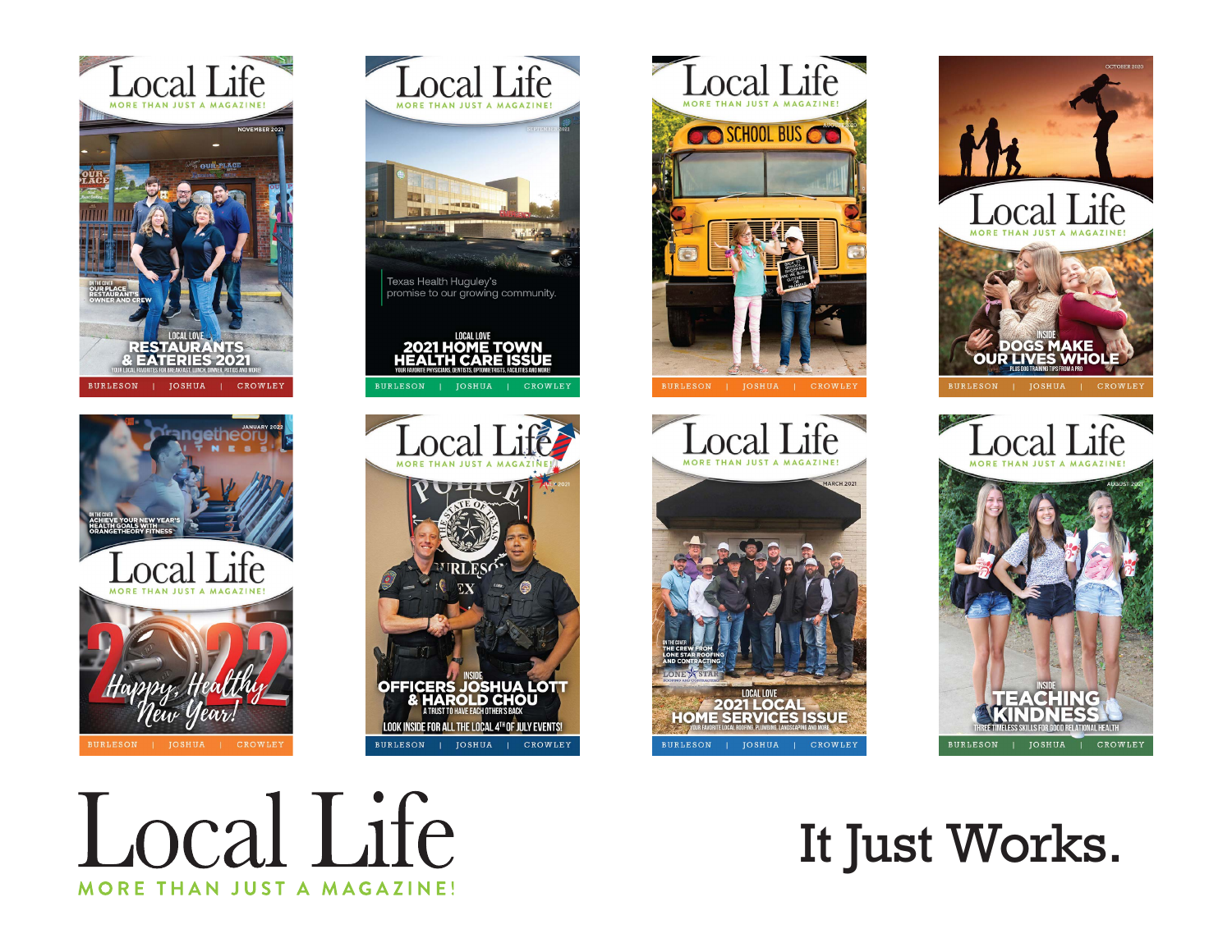













# Local Life MORE THAN JUST A MAGAZINE!

# It Just Works.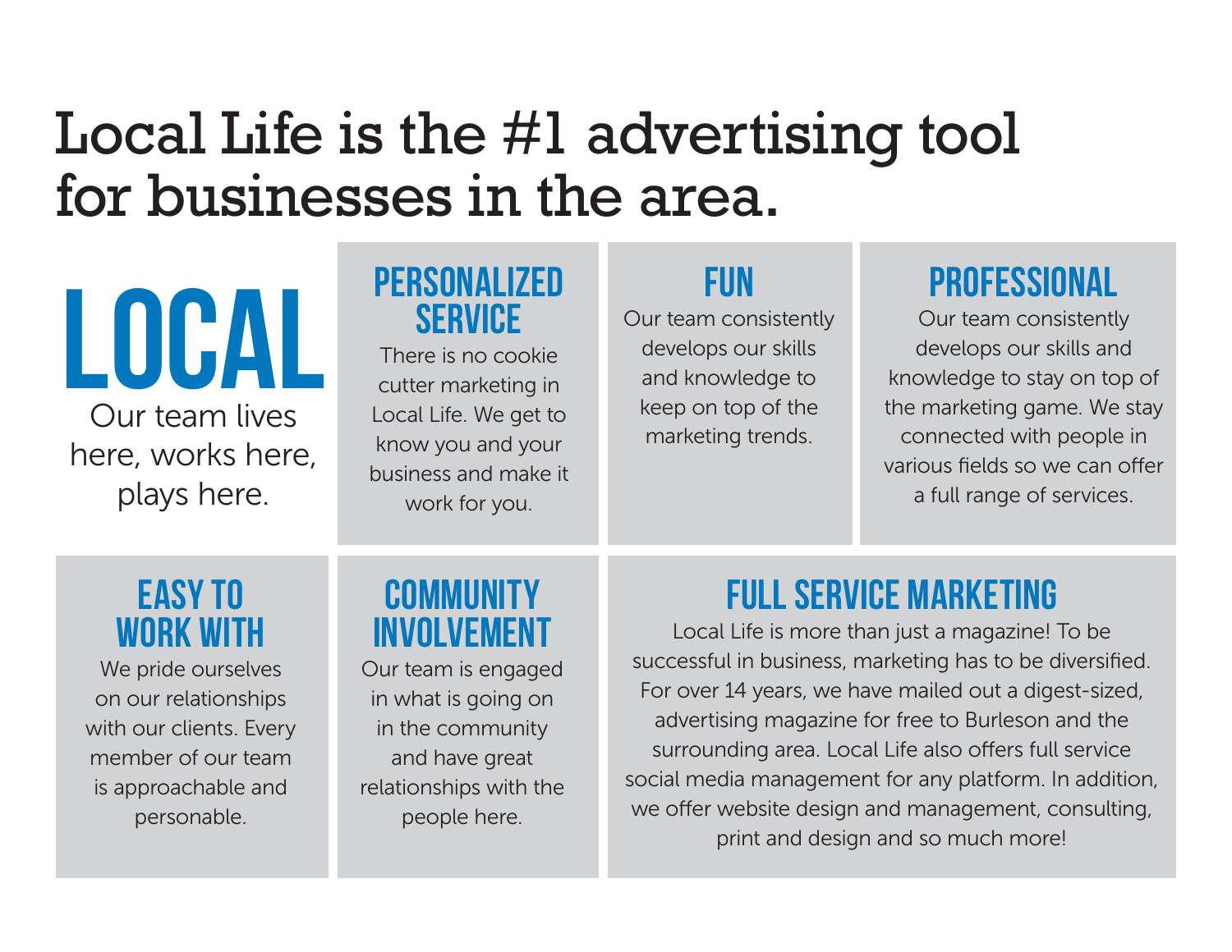# Local Life is the #1 advertising tool for businesses in the area.

**LOCAL** Our team lives here, works here, plays here.

## **PERSONALIZED SERVICE**

There is no cookie cutter marketing in Local Life. We get to know you and your business and make it work for you.

## **FUN**

Our team consistently develops our skills and knowledge to keep on top of the marketing trends.

## **PROFESSIONAL**

Our team consistently develops our skills and knowledge to stay on top of the marketing game. We stay connected with people in various fields so we can offer a full range of services.

### **EASY TO WORK WITH**

We pride ourselves on our relationships with our clients. Every member of our team is approachable and personable.

## **COMMUNITY INVOLVEMENT**

Our team is engaged in what is going on in the community and have great relationships with the people here.

## **FULL SERVICE MARKETING**

Local Life is more than just a magazine! To be successful in business, marketing has to be diversified. For over 14 years, we have mailed out a digest-sized, advertising magazine for free to Burleson and the surrounding area. Local Life also offers full service social media management for any platform. In addition, we offer website design and management, consulting, print and design and so much more!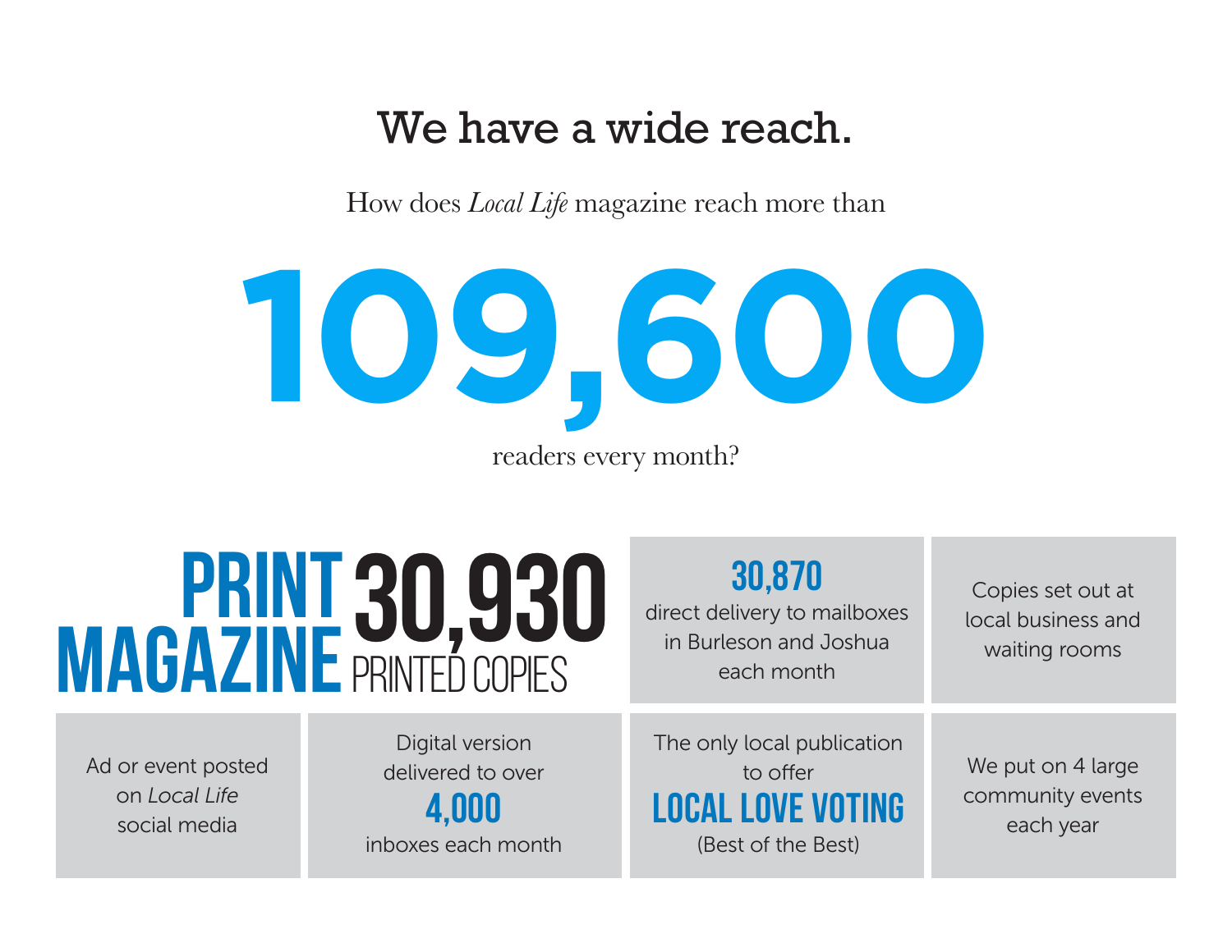# We have a wide reach.

How does *Local Life* magazine reach more than



# **MAGAZINE PRINTED COPIES**

**30,870**

direct delivery to mailboxes in Burleson and Joshua each month

Copies set out at local business and waiting rooms

Ad or event posted on *Local Life* social media

Digital version delivered to over **4,000** inboxes each month The only local publication to offer **LOCAL LOVE VOTING** (Best of the Best)

We put on 4 large community events each year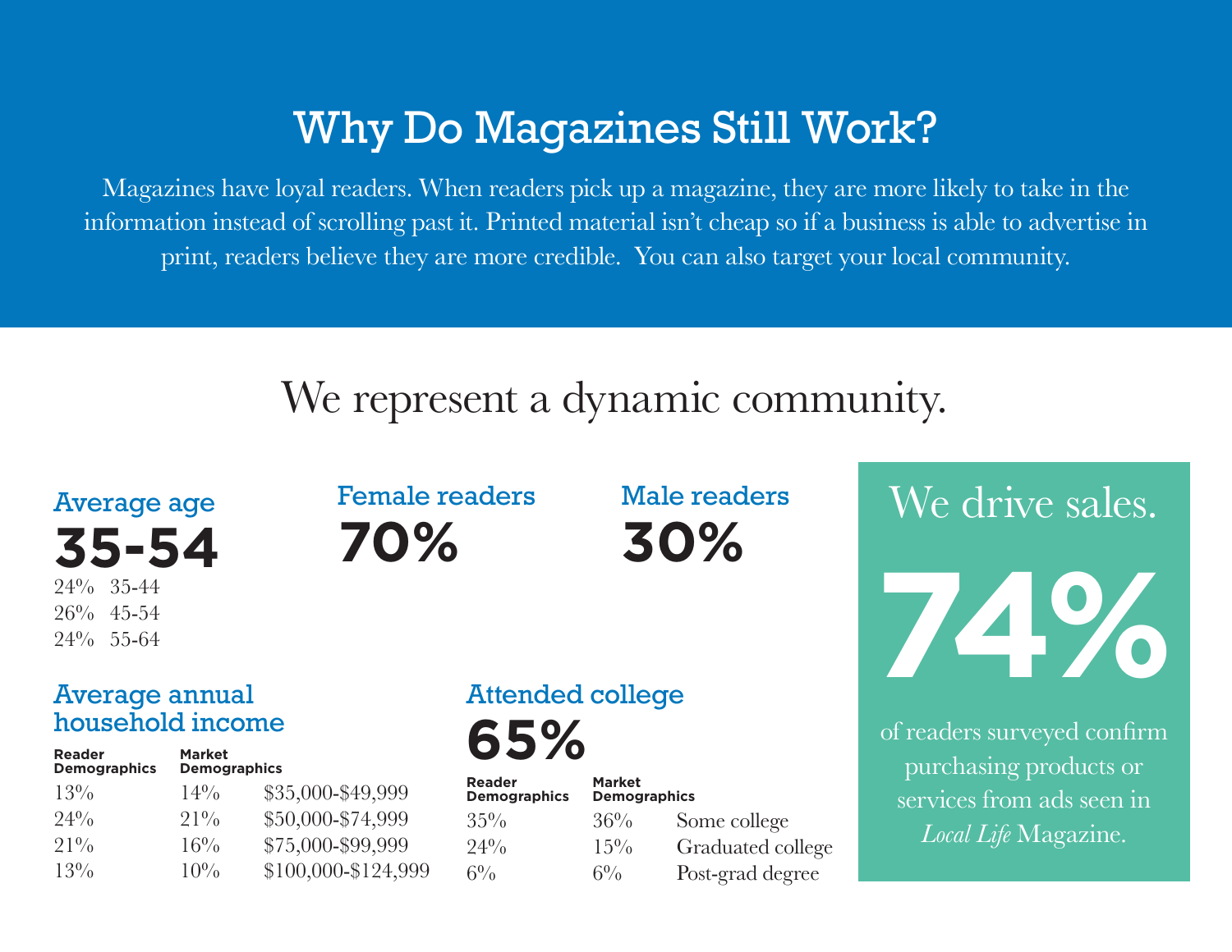# Why Do Magazines Still Work?

Magazines have loyal readers. When readers pick up a magazine, they are more likely to take in the information instead of scrolling past it. Printed material isn't cheap so if a business is able to advertise in print, readers believe they are more credible. You can also target your local community.

# We represent a dynamic community.

#### Average age **35-54** 24% 35-44 26% 45-54 24% 55-64

## Female readers **70%**

Male readers **30%**

## Attended college

**65%**

| <b>Reader</b><br><b>Demographics</b> | <b>Market</b><br><b>Demographics</b> |                   |
|--------------------------------------|--------------------------------------|-------------------|
| $35\%$                               | $36\%$                               | Some college      |
| $24\%$                               | $15\%$                               | Graduated college |
| $6\%$                                | $6\%$                                | Post-grad degree  |

of readers surveyed confirm purchasing products or services from ads seen in *Local Life* Magazine.

We drive sales.

**74%**

#### Average annual household income

| <b>Reader</b><br><b>Demographics</b> | <b>Market</b><br><b>Demographics</b> |                     |
|--------------------------------------|--------------------------------------|---------------------|
| $13\%$                               | $14\%$                               | \$35,000-\$49,999   |
| $24\%$                               | $21\%$                               | \$50,000-\$74,999   |
| $21\%$                               | $16\%$                               | \$75,000-\$99,999   |
| $13\%$                               | $10\%$                               | \$100,000-\$124,999 |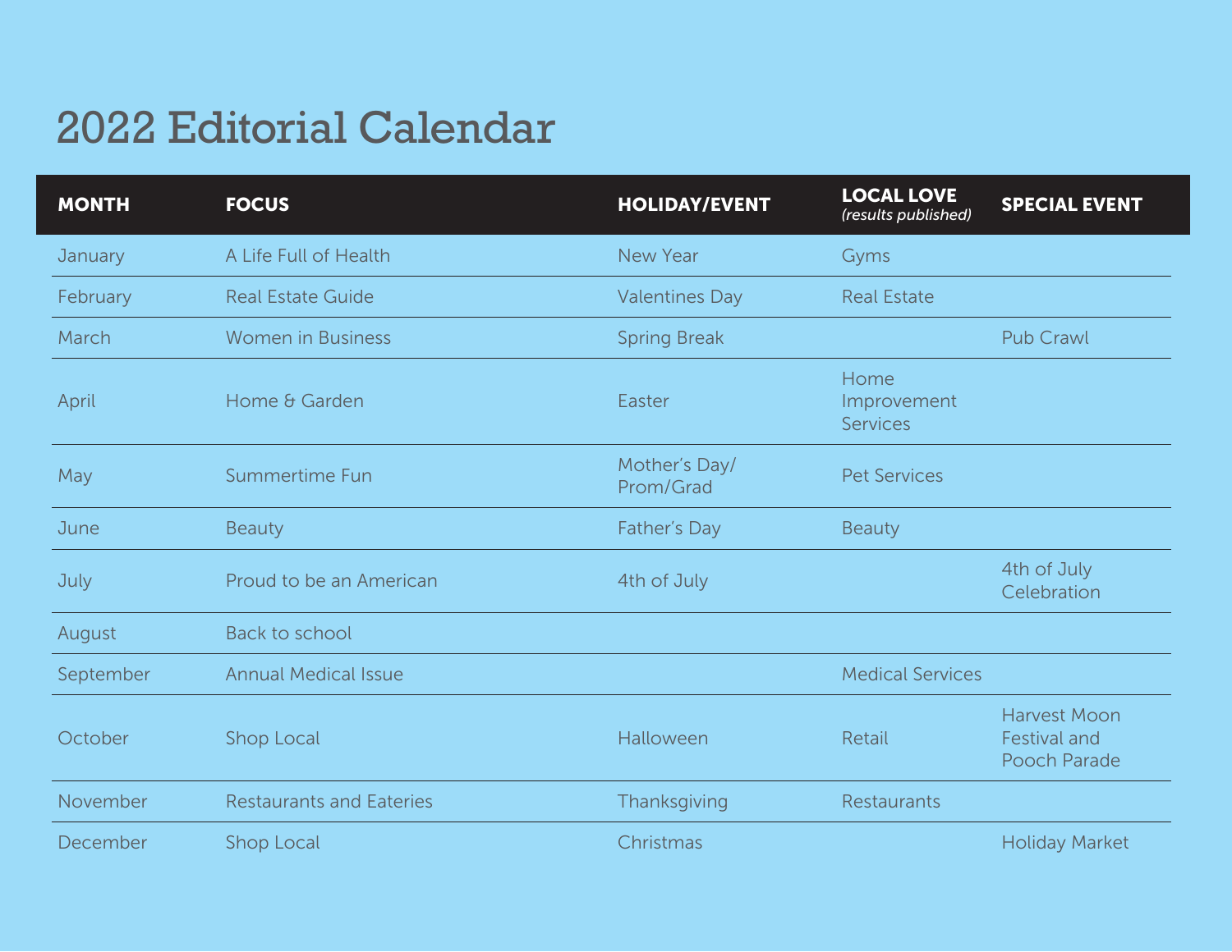# 2022 Editorial Calendar

| <b>MONTH</b> | <b>FOCUS</b>                    | <b>HOLIDAY/EVENT</b>       | <b>LOCAL LOVE</b><br>(results published) | <b>SPECIAL EVENT</b>                                |
|--------------|---------------------------------|----------------------------|------------------------------------------|-----------------------------------------------------|
| January      | A Life Full of Health           | <b>New Year</b>            | Gyms                                     |                                                     |
| February     | <b>Real Estate Guide</b>        | <b>Valentines Day</b>      | <b>Real Estate</b>                       |                                                     |
| March        | <b>Women in Business</b>        | <b>Spring Break</b>        |                                          | <b>Pub Crawl</b>                                    |
| April        | Home & Garden                   | Easter                     | Home<br>Improvement<br><b>Services</b>   |                                                     |
| May          | Summertime Fun                  | Mother's Day/<br>Prom/Grad | <b>Pet Services</b>                      |                                                     |
| June         | <b>Beauty</b>                   | Father's Day               | <b>Beauty</b>                            |                                                     |
| July         | Proud to be an American         | 4th of July                |                                          | 4th of July<br>Celebration                          |
| August       | Back to school                  |                            |                                          |                                                     |
| September    | <b>Annual Medical Issue</b>     |                            | <b>Medical Services</b>                  |                                                     |
| October      | Shop Local                      | Halloween                  | Retail                                   | Harvest Moon<br><b>Festival and</b><br>Pooch Parade |
| November     | <b>Restaurants and Eateries</b> | Thanksgiving               | <b>Restaurants</b>                       |                                                     |
| December     | Shop Local                      | Christmas                  |                                          | <b>Holiday Market</b>                               |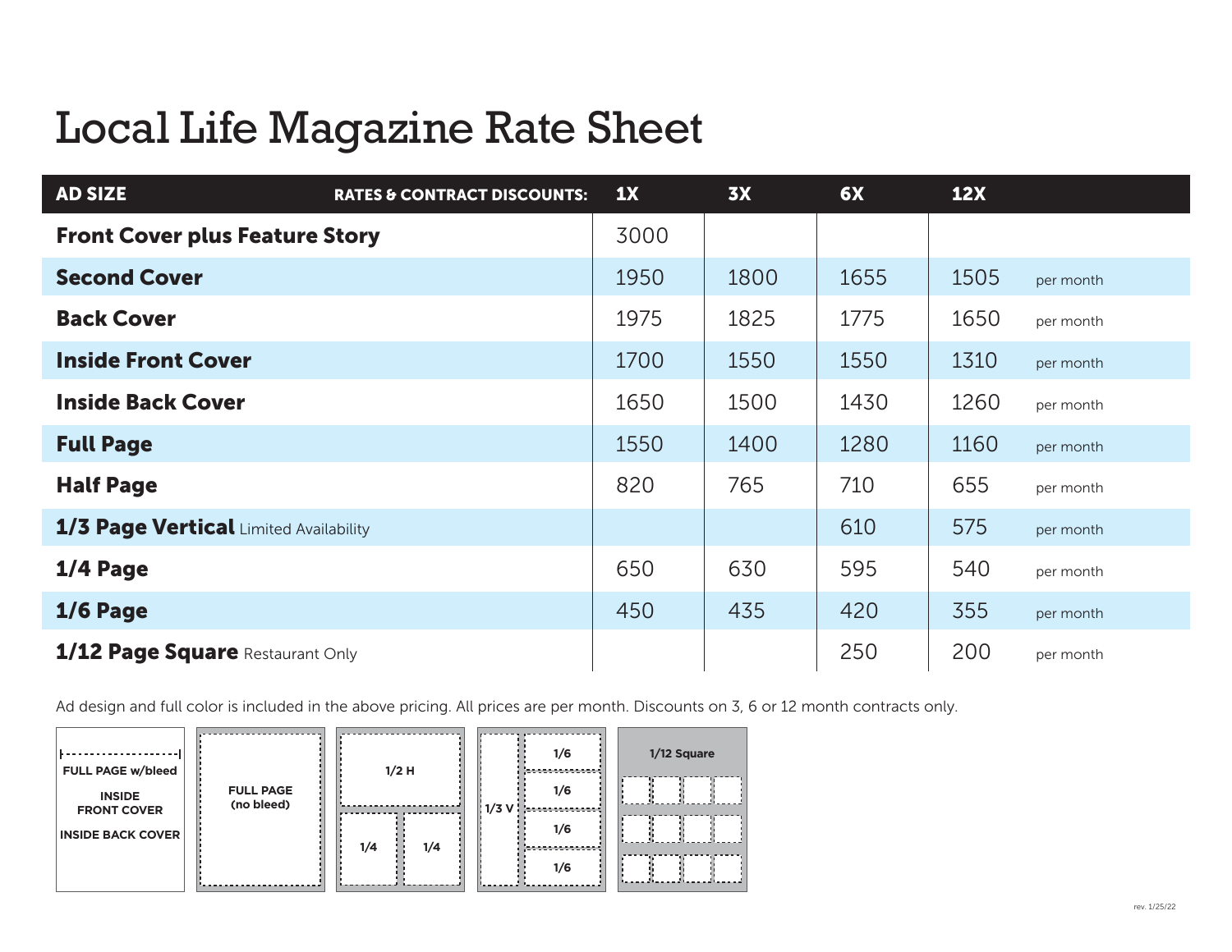# Local Life Magazine Rate Sheet

| <b>AD SIZE</b>                         | <b>RATES &amp; CONTRACT DISCOUNTS:</b> | 1X   | 3X   | 6X   | <b>12X</b> |           |
|----------------------------------------|----------------------------------------|------|------|------|------------|-----------|
| <b>Front Cover plus Feature Story</b>  |                                        | 3000 |      |      |            |           |
| <b>Second Cover</b>                    |                                        | 1950 | 1800 | 1655 | 1505       | per month |
| <b>Back Cover</b>                      |                                        | 1975 | 1825 | 1775 | 1650       | per month |
| <b>Inside Front Cover</b>              |                                        | 1700 | 1550 | 1550 | 1310       | per month |
| <b>Inside Back Cover</b>               |                                        | 1650 | 1500 | 1430 | 1260       | per month |
| <b>Full Page</b>                       |                                        | 1550 | 1400 | 1280 | 1160       | per month |
| <b>Half Page</b>                       |                                        | 820  | 765  | 710  | 655        | per month |
| 1/3 Page Vertical Limited Availability |                                        |      |      | 610  | 575        | per month |
| 1/4 Page                               |                                        | 650  | 630  | 595  | 540        | per month |
| 1/6 Page                               |                                        | 450  | 435  | 420  | 355        | per month |
| 1/12 Page Square Restaurant Only       |                                        |      |      | 250  | 200        | per month |

Ad design and full color is included in the above pricing. All prices are per month. Discounts on 3, 6 or 12 month contracts only.

| FULL PAGE w/bleed                   |                                | $1/2$ H    | 1/6            | 1/12 Square |
|-------------------------------------|--------------------------------|------------|----------------|-------------|
| <b>INSIDE</b><br><b>FRONT COVER</b> | <b>FULL PAGE</b><br>(no bleed) |            | 1/6<br>, 1/3 V |             |
| <b>INSIDE BACK COVER</b>            |                                | 1/4<br>1/4 | 1/6            |             |
|                                     |                                |            | 1/6            |             |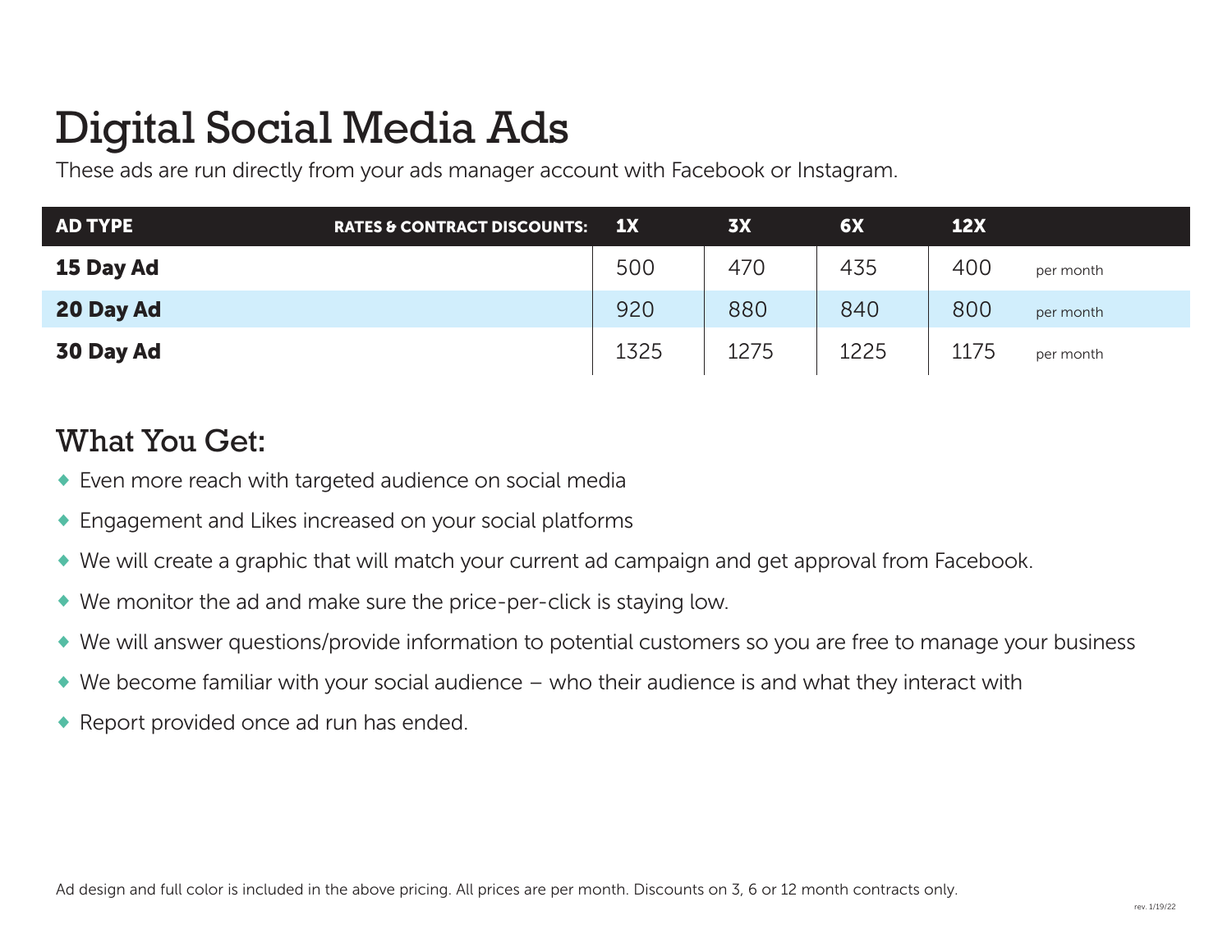# Digital Social Media Ads

These ads are run directly from your ads manager account with Facebook or Instagram.

| <b>AD TYPE</b> | <b>RATES &amp; CONTRACT DISCOUNTS:</b> | 1X   | <b>3X</b> | 6X   | <b>12X</b> |           |
|----------------|----------------------------------------|------|-----------|------|------------|-----------|
| 15 Day Ad      |                                        | 500  | 470       | 435  | 400        | per month |
| 20 Day Ad      |                                        | 920  | 880       | 840  | 800        | per month |
| 30 Day Ad      |                                        | 1325 | 1275      | 1225 | 1175       | per month |

#### What You Get:

- $\bullet$  Even more reach with targeted audience on social media
- **Engagement and Likes increased on your social platforms**
- We will create a graphic that will match your current ad campaign and get approval from Facebook.
- $\bullet$  We monitor the ad and make sure the price-per-click is staying low.
- w We will answer questions/provide information to potential customers so you are free to manage your business
- $\blacklozenge$  We become familiar with your social audience who their audience is and what they interact with
- $\bullet$  Report provided once ad run has ended.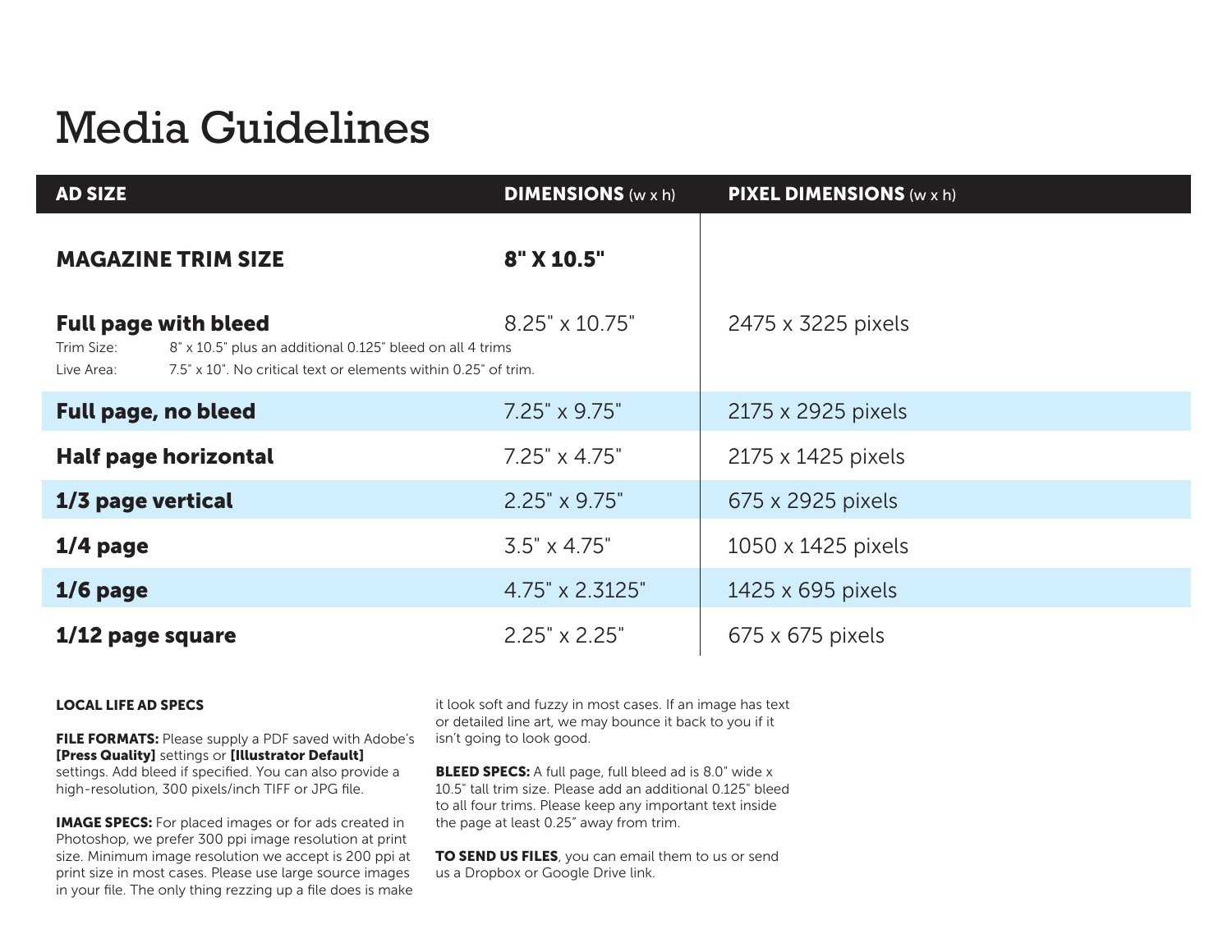# Media Guidelines

| <b>AD SIZE</b>                                                                                                                                                                         | <b>DIMENSIONS</b> (w x h) | <b>PIXEL DIMENSIONS</b> (w x h) |
|----------------------------------------------------------------------------------------------------------------------------------------------------------------------------------------|---------------------------|---------------------------------|
| <b>MAGAZINE TRIM SIZE</b>                                                                                                                                                              | 8" X 10.5"                |                                 |
| <b>Full page with bleed</b><br>Trim Size:<br>8" x 10.5" plus an additional 0.125" bleed on all 4 trims<br>Live Area:<br>7.5" x 10". No critical text or elements within 0.25" of trim. | $8.25" \times 10.75"$     | 2475 x 3225 pixels              |
| <b>Full page, no bleed</b>                                                                                                                                                             | $7.25" \times 9.75"$      | 2175 x 2925 pixels              |
| <b>Half page horizontal</b>                                                                                                                                                            | $7.25" \times 4.75"$      | 2175 x 1425 pixels              |
| 1/3 page vertical                                                                                                                                                                      | $2.25" \times 9.75"$      | 675 x 2925 pixels               |
| $1/4$ page                                                                                                                                                                             | $3.5" \times 4.75"$       | 1050 x 1425 pixels              |
| $1/6$ page                                                                                                                                                                             | 4.75" x 2.3125"           | 1425 x 695 pixels               |
| 1/12 page square                                                                                                                                                                       | $2.25" \times 2.25"$      | 675 x 675 pixels                |

#### LOCAL LIFE AD SPECS

FILE FORMATS: Please supply a PDF saved with Adobe's [Press Quality] settings or [Illustrator Default] settings. Add bleed if specified. You can also provide a high-resolution, 300 pixels/inch TIFF or JPG file.

IMAGE SPECS: For placed images or for ads created in Photoshop, we prefer 300 ppi image resolution at print size. Minimum image resolution we accept is 200 ppi at print size in most cases. Please use large source images in your file. The only thing rezzing up a file does is make

it look soft and fuzzy in most cases. If an image has text or detailed line art, we may bounce it back to you if it isn't going to look good.

**BLEED SPECS:** A full page, full bleed ad is 8.0" wide x 10.5" tall trim size. Please add an additional 0.125" bleed to all four trims. Please keep any important text inside the page at least 0.25" away from trim.

TO SEND US FILES, you can email them to us or send us a Dropbox or Google Drive link.